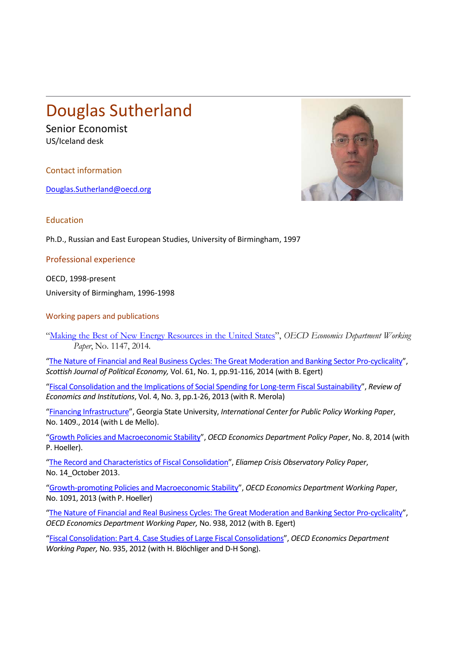## Douglas Sutherland

Senior Economist US/Iceland desk

Contact information

[Douglas.Sutherland@oecd.org](mailto:Douglas.Sutherland@oecd.org)



Education

Ph.D., Russian and East European Studies, University of Birmingham, 1997

Professional experience

OECD, 1998-present University of Birmingham, 1996-1998

Working papers and publications

"Making [the Best of New Energy Resources in the United States"](http://www.oecd-ilibrary.org/economics/making-the-best-of-new-energy-resources-in-the-united-states_5jz0zbb8ksnr-en?crawler=true), *OECD Economics Department Working Paper*, No. 1147, 2014.

["The Nature of Financial and Real Business Cycles: The Great Moderation and Banking Sector Pro-cyclicality"](http://onlinelibrary.wiley.com/doi/10.1111/sjpe.12036/abstract), *Scottish Journal of Political Economy,* Vol. 61, No. 1, pp.91-116, 2014 (with B. Egert)

["Fiscal Consolidation and the Implications of Social Spending for Long-term Fiscal Sustainability"](http://www.rei.unipg.it/rei/article/view/100), *Review of Economics and Institutions*, Vol. 4, No. 3, pp.1-26, 2013 (with R. Merola)

["Financing Infrastructure"](http://aysps.gsu.edu/sites/default/files/documents/icepp/wp/ispwp1409.pdf), Georgia State University, *International Center for Public Policy Working Paper*, No. 1409., 2014 (with L de Mello).

["Growth Policies and Macroeconomic Stability"](http://www.oecd-ilibrary.org/economics/growth-policies-and-macroeconomic-stability_5jz8t849335d-en), *OECD Economics Department Policy Paper*, No. 8, 2014 (with P. Hoeller).

["The Record and Characteristics of Fiscal Consolidation"](http://crisisobs.gr/en/2013/10/douglas-sutherland-the-record-and-characteristics-of-fiscal-consolidation/), *Eliamep Crisis Observatory Policy Paper*, No. 14\_October 2013.

["Growth-promoting Policies and Macroeconomic Stability"](http://www.oecd-ilibrary.org/economics/growth-promoting-policies-and-macroeconomic-stability_5k3xqsz7c8d2-en), *OECD Economics Department Working Paper*, No. 1091, 2013 (with P. Hoeller)

["The Nature of Financial and Real Business Cycles: The Great Moderation and Banking Sector Pro-cyclicality"](http://www.oecd-ilibrary.org/economics/the-nature-of-financial-and-real-business-cycles_5k9h28k3gt24-en), *OECD Economics Department Working Paper,* No. 938, 2012 (with B. Egert)

["Fiscal Consolidation: Part 4. Case Studies of Large Fiscal Consolidations"](http://www.oecd-ilibrary.org/economics/fiscal-consolidation-part-4-case-studies-of-large-fiscal-consolidation-episodes_5k9fdf5xptlq-en), *OECD Economics Department Working Paper,* No. 935, 2012 (with H. Blöchliger and D-H Song).